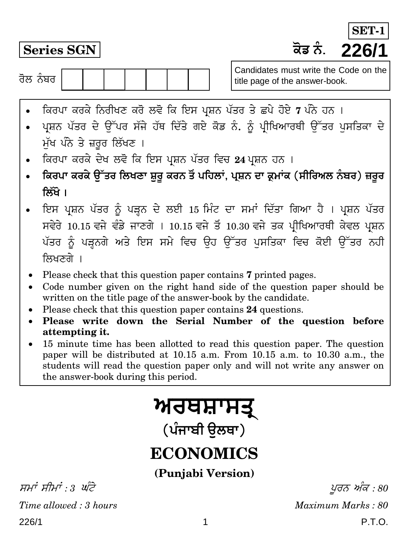**Series SGN H}T ²¥¾. 226/1 SET-**

ਰੋਲ ਨੰਬਰ  $\overline{\phantom{a}}$ 

Candidates must write the Code on the title page of the answer-book.

- ਕਿਰਪਾ ਕਰਕੇ ਨਿਰੀਖਣ ਕਰੋ ਲਵੋ ਕਿ ਇਸ ਪ੍ਰਸ਼ਨ ਪੱਤਰ ਤੇ ਛਪੇ ਹੋਏ 7 ਪੰਨੇ ਹਨ ।
- ਪ੍ਰਸ਼ਨ ਪੱਤਰ ਦੇ ਉੱਪਰ ਸੱਜੇ ਹੱਥ ਦਿੱਤੇ ਗਏ ਕੋਡ ਨੰ. ਨੂੰ ਪ੍ਰੀਖਿਆਰਥੀ ਉੱਤਰ ਪਸਤਿਕਾ ਦੇ ਮੁੱਖ ਪੰਨੇ ਤੇ ਜ਼ਰੂਰ ਲਿੱਖਣ ।
- । ਕਿਰਪਾ ਕਰਕੇ ਦੇਖ ਲਵੋ ਕਿ ਇਸ ਪ੍ਰਸ਼ਨ ਪੱਤਰ ਵਿਚ 24 ਪ੍ਰਸ਼ਨ ਹਨ ।
- **ਕਿਰਪਾ ਕਰਕੇ ੳੱਤਰ ਲਿਖਣਾ ਸ਼ਰ ਕਰਨ ਤੋਂ ਪਹਿਲਾਂ, ਪ੍ਰਸ਼ਨ ਦਾ ਕ੍ਰਮਾਂਕ (ਸੀਰਿਅਲ ਨੰਬਰ) ਜ਼ਰਰ क्रिंगे** ।
- ਇਸ ਪ੍ਰਸ਼ਨ ਪੱਤਰ ਨੂੰ ਪੜ੍ਹਨ ਦੇ ਲਈ 15 ਮਿੰਟ ਦਾ ਸਮਾਂ ਦਿੱਤਾ ਗਿਆ ਹੈ । ਪ੍ਰਸ਼ਨ ਪੱਤਰ ਸਵੇਰੇ 10.15 ਵਜੇ ਵੰਡੇ ਜਾਣਗੇ । 10.15 ਵਜੇ ਤੋਂ 10.30 ਵਜੇ ਤਕ ਪੀਖਿਆਰਥੀ ਕੇਵਲ ਪਸ਼ਨ ਪੱਤਰ ਨੂੰ ਪੜ੍ਹਨਗੇ ਅਤੇ ਇਸ ਸਮੇ ਵਿਚ ਉਹ ਉੱਤਰ ਪਸਤਿਕਾ ਵਿਚ ਕੋਈ ਉੱਤਰ ਨਹੀ ਲਿਖਣਗੇ ।
- Please check that this question paper contains **7** printed pages.
- Code number given on the right hand side of the question paper should be written on the title page of the answer-book by the candidate.
- Please check that this question paper contains **24** questions.
- **Please write down the Serial Number of the question before attempting it.**
- 15 minute time has been allotted to read this question paper. The question paper will be distributed at 10.15 a.m. From 10.15 a.m. to 10.30 a.m., the students will read the question paper only and will not write any answer on the answer-book during this period.

# <u>ਅਰਥਸ਼ਾਸਤ੍</u>

(ਪੰਜਾਬੀ **ੳਲ**ਥਾ)

# **ECONOMICS**

**(Punjabi Version)**

226/1 P.T.O. ਸਮਾਂ ਸੀਮਾਂ : 3 ਘੰਟੇ $y \in \mathcal{S}$  ,  $y \in \mathcal{S}$ *Time allowed : 3 hours Maximum Marks : 80*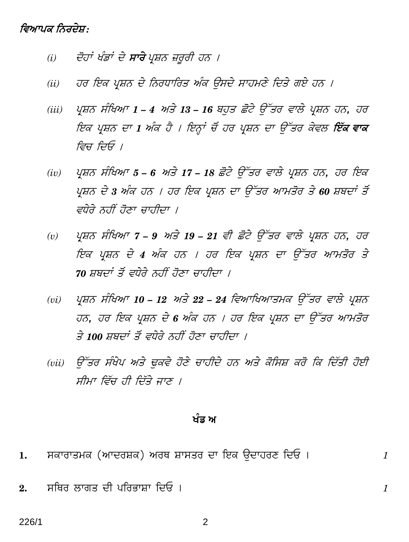## ਵਿਆਪਕ ਨਿਰਦੇਸ਼:

- ਦੋਹਾਂ ਖੰਡਾਂ ਦੇ **ਸਾਰੇ** ਪ੍ਰਸ਼ਨ ਜ਼ਰੂਰੀ ਹਨ ।  $(i)$
- ਹਰ ਇਕ ਪ੍ਰਸ਼ਨ ਦੇ ਨਿਰਧਾਰਿਤ ਅੰਕ ਉਸਦੇ ਸਾਹਮਣੇ ਦਿਤੇ ਗਏ ਹਨ ।  $(ii)$
- ਪ੍ਰਸ਼ਨ ਸੰਖਿਆ 1 4 ਅਤੇ 13 16 ਬਹੁਤ ਛੋਟੇ ਉੱਤਰ ਵਾਲੇ ਪ੍ਰਸ਼ਨ ਹਨ, ਹਰ  $(iii)$ ਇਕ ਪ੍ਰਸ਼ਨ ਦਾ 1 ਅੰਕ ਹੈ । ਇਨ੍ਹਾਂ ਚੋਂ ਹਰ ਪ੍ਰਸ਼ਨ ਦਾ ਉੱਤਰ ਕੇਵਲ **ਇੱਕ ਵਾਕ** ਵਿਚ ਦਿਓ ।
- ਪ੍ਰਸ਼ਨ ਸੰਖਿਆ 5 6 ਅਤੇ 17 18 ਛੋਟੇ ਉੱਤਰ ਵਾਲੇ ਪ੍ਰਸ਼ਨ ਹਨ, ਹਰ ਇਕ  $(iv)$ ਪ੍ਰਸ਼ਨ ਦੇ 3 ਅੰਕ ਹਨ । ਹਰ ਇਕ ਪ੍ਰਸ਼ਨ ਦਾ ਉੱਤਰ ਆਮਤੋਰ ਤੇ 60 ਸ਼ਬਦਾਂ ਤੋਂ ਵਧੇਰੇ ਨਹੀਂ ਹੋਣਾ ਚਾਹੀਦਾ ।
- ਪ੍ਰਸ਼ਨ ਸੰਖਿਆ 7 9 ਅਤੇ 19 21 ਵੀ ਛੋਟੇ ਉੱਤਰ ਵਾਲੇ ਪ੍ਰਸ਼ਨ ਹਨ, ਹਰ  $(v)$ ਇਕ ਪ੍ਰਸ਼ਨ ਦੇ 4 ਅੰਕ ਹਨ । ਹਰ ਇਕ ਪ੍ਰਸ਼ਨ ਦਾ ਉੱਤਰ ਆਮਤੋਰ ਤੇ 70 ਸ਼ਬਦਾਂ ਤੋਂ ਵਧੇਰੇ ਨਹੀਂ ਹੋਣਾ ਚਾਹੀਦਾ ।
- ਪ੍ਰਸ਼ਨ ਸੰਖਿਆ 10 12 ਅਤੇ 22 24 ਵਿਆਖਿਆਤਮਕ ਉੱਤਰ ਵਾਲੇ ਪ੍ਰਸ਼ਨ  $(vi)$ ਹਨ, ਹਰ ਇਕ ਪ੍ਰਸ਼ਨ ਦੇ 6 ਅੰਕ ਹਨ । ਹਰ ਇਕ ਪ੍ਰਸ਼ਨ ਦਾ ਉੱਤਰ ਆਮਤੋਰ ਤੇ 100 ਸਬਦਾਂ ਤੋਂ ਵਧੇਰੇ ਨਹੀਂ ਹੋਣਾ ਚਾਹੀਦਾ ।
- ਉੱਤਰ ਸੰਖੇਪ ਅਤੇ ਢਕਵੇ ਹੋਣੇ ਚਾਹੀਦੇ ਹਨ ਅਤੇ ਕੋਸਿਸ਼ ਕਰੋ ਕਿ ਦਿੱਤੀ ਹੋਈ  $(vii)$ ਸੀਮਾ ਵਿੱਚ ਹੀ ਦਿੱਤੇ ਜਾਣ ।

### ਖੰਡ ਅ

 $\mathcal{I}_{\mathcal{L}}$ 

 $\mathcal{I}_{\mathcal{L}}$ 

- ਸਕਾਰਾਤਮਕ (ਆਦਰਸ਼ਕ) ਅਰਥ ਸ਼ਾਸਤਰ ਦਾ ਇਕ ਉਦਾਹਰਣ ਦਿਓ । 1.
- ਸਥਿਰ ਲਾਗਤ ਦੀ ਪਰਿਭਾਸ਼ਾ ਦਿਓ ।  $2.$

226/1

2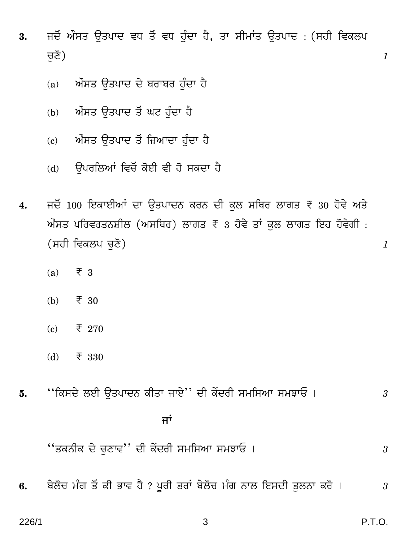- 3. ਜਦੋਂ ਔਸਤ ਉਤਪਾਦ ਵਧ ਤੋਂ ਵਧ ਹੁੰਦਾ ਹੈ, ਤਾ ਸੀਮਾਂਤ ਉਤਪਾਦ : (ਸਹੀ ਵਿਕਲਪ <u>ਚ</u>ਣੋਂ) *1* 
	- (a) ਅੰਸਤ ਉਤਪਾਦ ਦੇ ਬਰਾਬਰ ਹੰਦਾ ਹੈ
	- (b) ਔਸਤ ਉਤਪਾਦ ਤੋਂ ਘਟ ਹੰਦਾ ਹੈ
	- $(c)$  ਅੰਸਤ ਉਤਪਾਦ ਤੋਂ ਜ਼ਿਆਦਾ ਹੁੰਦਾ ਹੈ
	- (d) ਉਪਰਲਿਆਂ ਵਿਚੋਂ ਕੋਈ ਵੀ ਹੋ ਸਕਦਾ ਹੈ
- 4. ਜਦੋਂ 100 ਇਕਾਈਆਂ ਦਾ ਉਤਪਾਦਨ ਕਰਨ ਦੀ ਕਲ ਸਥਿਰ ਲਾਗਤ <del>₹</del> 30 ਹੋਵੇ ਅਤੇ  $\mathcal{W}$ ਸਤ ਪਰਿਵਰਤਨਸ਼ੀਲ (ਅਸਥਿਰ) ਲਾਗਤ ₹  $_3$  ਹੋਵੇ ਤਾਂ ਕਲ ਲਾਗਤ ਇਹ ਹੋਵੇਗੀ : (ਸਹੀ ਵਿਕਲਪ ਚਣੋ) *1* 
	- (a)  $\overline{\xi}$  3
	- (b)  $\bar{\tau}$  30
	- (c)  $\qquad \bar{\tau}$  270
	- (d)  $\bar{\tau}$  330
- **5.** ''qHgYy dBr EW\pY²¾ HrWp OpBy'' Yr HzYcr g`qgAp g`PpG & *<sup>3</sup>*

# ਿੰਦਰ ਸੀ। ਇਸ ਦੇ <mark>ਜਾਂ</mark>

''WH²¾rH Yy MtVpe'' Yr HzYcr g`qgAp g`PpG & *<sup>3</sup>*

**6.** ^yd}M `¥J W~ Hr \_pe h± ? \vcr Wcp£ ^yd}M `¥J ²¾pd qBgYr Wtd²¾p Hc} & *3*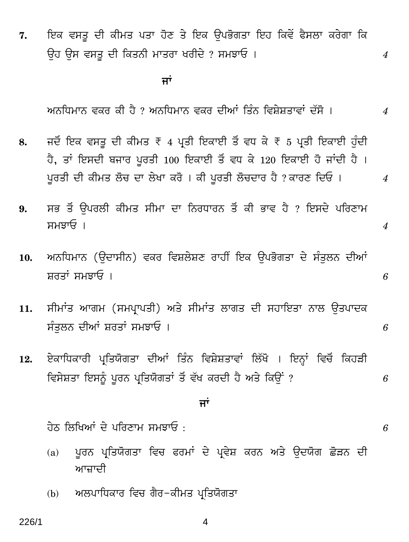7. ਇਕ ਵਸਤੂ ਦੀ ਕੀਮਤ ਪਤਾ ਹੋਣ ਤੇ ਇਕ ਉਪਭੋਗਤਾ ਇਹ ਕਿਵੇਂ ਫੈਸਲਾ ਕਰੇਗਾ ਕਿ Eh Eg egWv Yr qHW²¾r `pWcp IcrYy ? g`PpG & *4*

्यान्तराज्यसम्बद्धाः स्टब्स्<br>सर्वे अपूर्णलेखाः स्टब्स्

ਅਨੁਧਿਮਾਨ ਵਕਰ ਕੀ ਹੈ ? ਅਨੁਧਿਮਾਨ ਵਕਰ ਦੀਆਂ ਤਿੰਨ ਵਿਸ਼ੇਸ਼ਤਾਵਾਂ ਦੱਸੋ । 4

- 8. ਜਦੋਂ ਇਕ ਵਸਤ ਦੀ ਕੀਮਤ ₹ 4 ਪਤੀ ਇਕਾਈ ਤੋਂ ਵਧ ਕੇ ₹ 5 ਪਤੀ ਇਕਾਈ ਹੰਦੀ ਹੈ, ਤਾਂ ਇਸਦੀ ਬਜਾਰ ਪੂਰਤੀ 100 ਇਕਾਈ ਤੋਂ ਵਧ ਕੇ 120 ਇਕਾਈ ਹੋ ਜਾਂਦੀ ਹੈ।  $\mu$ ਰਤੀ ਦੀ ਕੀਮਤ ਲੋਚ ਦਾ ਲੇਖਾ ਕਰੋ । ਕੀ ਪੁਰਤੀ ਲੋਚਦਾਰ ਹੈ ? ਕਾਰਣ ਦਿਓ ।  $\mu$
- 9. ਸਭ ਤੋਂ ਉਪਰਲੀ ਕੀਮਤ ਸੀਮਾ ਦਾ ਨਿਰਧਾਰਨ ਤੋਂ ਕੀ ਭਾਵ ਹੈ ? ਇਸਦੇ ਪਰਿਣਾਮ g`PpG & *4*
- 10. ਅਨਧਿਮਾਨ (ੳਦਾਸੀਨ) ਵਕਰ ਵਿਸ਼ਲੇਸ਼ਣ ਰਾਹੀਂ ਇਕ ੳਪਭੋਗਤਾ ਦੇ ਸੰਤਲਨ ਦੀਆਂ ਸ਼ਰਤਾਂ ਸਮਝਾਓ ।  $6$
- 11. ਸੀਮਾਂਤ ਆਗਮ (ਸਮਪ੍ਰਾਪਤੀ) ਅਤੇ ਸੀਮਾਂਤ ਲਾਗਤ ਦੀ ਸਹਾਇਤਾ ਨਾਲ ਉਤਪਾਦਕ g¥Wtd²¾ YrAp£ fcWp£ g`PpG & *6*
- 12. ਏਕਾਧਿਕਾਰੀ ਪ੍ਰਤਿਯੋਗਤਾ ਦੀਆਂ ਤਿੰਨ ਵਿਸ਼ੇਸ਼ਤਾਵਾਂ ਲਿੱਖੋ । ਇਨ੍ਹਾਂ ਵਿਚੋਂ ਕਿਹੜੀ ਵਿਸੇਸ਼ਤਾ ਇਸਨੂੰ ਪੂਰਨ ਪ੍ਰਤਿਯੋਗਤਾਂ ਤੋਂ ਵੱਖ ਕਰਦੀ ਹੈ ਅਤੇ ਕਿਉਂ ? *6*

<u>ਜਾਂ</u>

<u>ਹੇਠ ਲਿਖਿਆਂ ਦੇ ਪਰਿਣਾਮ ਸਮਝਾਓ :  $6$ </u>

- (a) ਪੂਰਨ ਪ੍ਰਤਿਯੋਗਤਾ ਵਿਚ ਫਰਮਾਂ ਦੇ ਪ੍ਰਵੇਸ਼ ਕਰਨ ਅਤੇ ਉਦਯੋਗ ਛੋੜਨ ਦੀ ਆਜ਼ਾਦੀ
- (b) ਅਲਪਾਧਿਕਾਰ ਵਿਚ ਗੈਰ-ਕੀਮਤ ਪਤਿਯੋਗਤਾ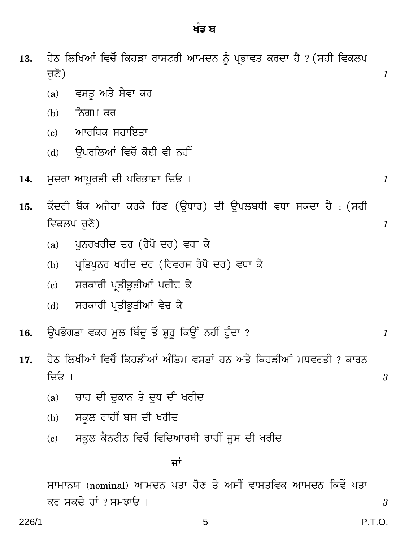13.

ਚਣੋਂ)

ਹੇਠ ਲਿਖਿਆਂ ਵਿਚੋਂ ਕਿਹੜਾ ਰਾਸ਼ਟਰੀ ਆਮਦਨ ਨੂੰ ਪ੍ਰਭਾਵਤ ਕਰਦਾ ਹੈ ? (ਸਹੀ ਵਿਕਲਪ

|     | (a) | ਵਸਤੂ ਅਤੇ ਸੇਵਾ ਕਰ                                                              |  |
|-----|-----|-------------------------------------------------------------------------------|--|
|     | (b) | ਨਿਗਮ ਕਰ                                                                       |  |
|     | (c) | ਆਰਥਿਕ ਸਹਾਇਤਾ                                                                  |  |
|     | (d) | ੳਪਰਲਿਆਂ ਵਿਚੋਂ ਕੋਈ ਵੀ ਨਹੀਂ                                                     |  |
| 14. |     | ਮੁਦਰਾ ਆਪੁਰਤੀ ਦੀ ਪਰਿਭਾਸ਼ਾ ਦਿਓ ।                                                |  |
| 15. |     | ਕੇਂਦਰੀ ਬੈਂਕ ਅਜੇਹਾ ਕਰਕੇ ਰਿਣ (ੳਧਾਰ) ਦੀ ੳਪਲਬਧੀ ਵਧਾ ਸਕਦਾ ਹੈ : (ਸਹੀ<br>ਵਿਕਲਪ ਚਣੋਂ) |  |
|     | (a) | ਪਨਰਖਰੀਦ ਦਰ (ਰੇਪੋ ਦਰ) ਵਧਾ ਕੇ                                                   |  |

- ਪ੍ਰਤਿਪਨਰ ਖਰੀਦ ਦਰ (ਰਿਵਰਸ ਰੇਪੋ ਦਰ) ਵਧਾ ਕੇ  $(b)$
- ਸਰਕਾਰੀ ਪ੍ਰਤੀਭੂਤੀਆਂ ਖਰੀਦ ਕੇ  $(c)$
- ਸਰਕਾਰੀ ਪ੍ਰਤੀਭੂਤੀਆਂ ਵੇਚ ਕੇ  $(d)$
- ਉਪਭੋਗਤਾ ਵਕਰ ਮੂਲ ਬਿੰਦੂ ਤੋਂ ਸ਼ੁਰੂ ਕਿਉਂ ਨਹੀਂ ਹੁੰਦਾ ? 16.
- ਹੇਠ ਲਿਖੀਆਂ ਵਿਚੋਂ ਕਿਹੜੀਆਂ ਅੰਤਿਮ ਵਸਤਾਂ ਹਨ ਅਤੇ ਕਿਹੜੀਆਂ ਮਧਵਰਤੀ ? ਕਾਰਨ 17. ਦਿਓ ।
	- ਚਾਹ ਦੀ ਦਕਾਨ ਤੇ ਦਧ ਦੀ ਖਰੀਦ  $(a)$
	- ਸਕੂਲ ਰਾਹੀਂ ਬਸ ਦੀ ਖਰੀਦ  $(b)$
	- ਸਕੂਲ ਕੈਨਟੀਨ ਵਿਚੋਂ ਵਿਦਿਆਰਥੀ ਰਾਹੀਂ ਜੂਸ ਦੀ ਖਰੀਦ  $(c)$

## ਜਾਂ

ਸਾਮਾਨਯ (nominal) ਆਮਦਨ ਪਤਾ ਹੋਣ ਤੇ ਅਸੀਂ ਵਾਸਤਵਿਕ ਆਮਦਨ ਕਿਵੇਂ ਪਤਾ ਕਰ ਸਕਦੇ ਹਾਂ ? ਸਮਝਾਓ ।

 $\boldsymbol{\beta}$ 

3

1

1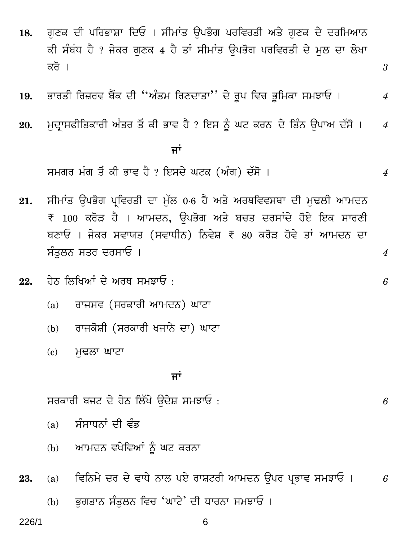- ਗਣਕ ਦੀ ਪਰਿਭਾਸ਼ਾ ਦਿਓ । ਸੀਮਾਂਤ ਉਪਭੋਗ ਪਰਵਿਰਤੀ ਅਤੇ ਗਣਕ ਦੇ ਦਰਮਿਆਨ 18. ਕੀ ਸੰਬੰਧ ਹੈ ? ਜੇਕਰ ਗੁਣਕ 4 ਹੈ ਤਾਂ ਸੀਮਾਂਤ ਉਪਭੋਗ ਪਰਵਿਰਤੀ ਦੇ ਮਲ ਦਾ ਲੇਖਾ ਕਰੋ ।
- ਭਾਰਤੀ ਰਿਜ਼ਰਵ ਬੈਂਕ ਦੀ ''ਅੰਤਮ ਰਿਣਦਾਤਾ'' ਦੇ ਰਪ ਵਿਚ ਭਮਿਕਾ ਸਮਝਾਓ । 19.
- ਮੁਦ੍ਰਾਸਫੀਤਿਕਾਰੀ ਅੰਤਰ ਤੋਂ ਕੀ ਭਾਵ ਹੈ ? ਇਸ ਨੂੰ ਘਟ ਕਰਨ ਦੇ ਤਿੰਨ ਉਪਾਅ ਦੱਸੋ । 20.  $\overline{4}$

### ਜਾਂ

ਸਮਗਰ ਮੰਗ ਤੋਂ ਕੀ ਭਾਵ ਹੈ ? ਇਸਦੇ ਘਟਕ (ਅੰਗ) ਦੱਸੋ ।

- ਸੀਮਾਂਤ ਉਪਭੋਗ ਪਵਿਰਤੀ ਦਾ ਮੱਲ 0.6 ਹੈ ਅਤੇ ਅਰਥਵਿਵਸਥਾ ਦੀ ਮਢਲੀ ਆਮਦਨ 21. ₹ 100 ਕਰੋੜ ਹੈ । ਆਮਦਨ, ਉਪਭੋਗ ਅਤੇ ਬਚਤ ਦਰਸਾਂਦੇ ਹੋਏ ਇਕ ਸਾਰਣੀ ਬਣਾਓ । ਜੇਕਰ ਸਵਾਯਤ (ਸਵਾਧੀਨ) ਨਿਵੇਸ਼ ₹ 80 ਕਰੋੜ ਹੋਵੇ ਤਾਂ ਆਮਦਨ ਦਾ ਸੰਤਲਨ ਸਤਰ ਦਰਸਾਓ ।
- <u>ਹੇਨ ਲਿਖਿਆਂ ਦੇ ਅਰਥ ਸਮਝਾਓ ·</u> 22.
	- ਰਾਜਸਵ (ਸਰਕਾਰੀ ਆਮਦਨ) ਘਾਟਾ  $(a)$
	- ਰਾਜਕੋਸ਼ੀ (ਸਰਕਾਰੀ ਖਜਾਨੇ ਦਾ) ਘਾਟਾ  $(b)$
	- ਮਢਲਾ ਘਾਟਾ  $\epsilon$ )

#### ਜਾਂ

ਸਰਕਾਰੀ ਬਜਟ ਦੇ ਹੇਠ ਲਿੱਖੇ ਉਦੇਸ਼ ਸਮਝਾਓ:

- ਸੰਸਾਧਨਾਂ ਦੀ ਵੰਡ  $(a)$
- ਆਮਦਨ ਵਖੇਵਿਆਂ ਨੂੰ ਘਟ ਕਰਨਾ  $(b)$
- ਵਿਨਿਮੇ ਦਰ ਦੇ ਵਾਧੇ ਨਾਲ ਪਏ ਰਾਸ਼ਟਰੀ ਆਮਦਨ ਉਪਰ ਪ੍ਰਭਾਵ ਸਮਝਾਓ । 23.  $(a)$ 6
	- ਭਗਤਾਨ ਸੰਤਲਨ ਵਿਚ 'ਘਾਟੇ' ਦੀ ਧਾਰਨਾ ਸਮਝਾਓ । (b)

6

6

3

 $\boldsymbol{\mathcal{A}}$ 

 $\boldsymbol{\varLambda}$ 

 $\boldsymbol{4}$ 

6